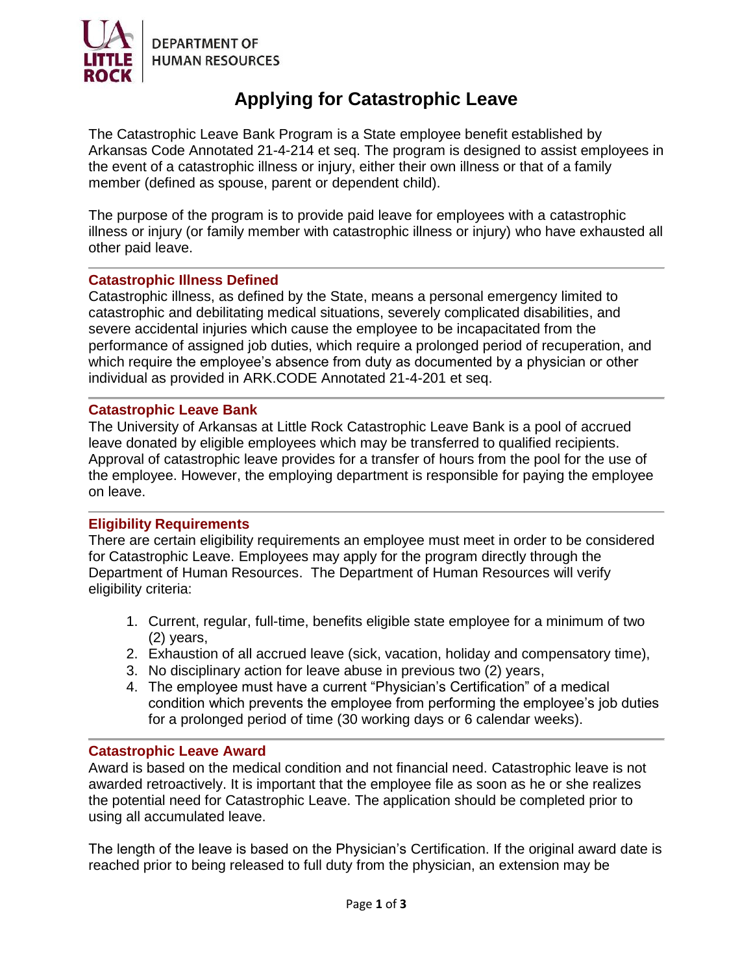

# **Applying for Catastrophic Leave**

The Catastrophic Leave Bank Program is a State employee benefit established by Arkansas Code Annotated 21-4-214 et seq. The program is designed to assist employees in the event of a catastrophic illness or injury, either their own illness or that of a family member (defined as spouse, parent or dependent child).

The purpose of the program is to provide paid leave for employees with a catastrophic illness or injury (or family member with catastrophic illness or injury) who have exhausted all other paid leave.

### **Catastrophic Illness Defined**

Catastrophic illness, as defined by the State, means a personal emergency limited to catastrophic and debilitating medical situations, severely complicated disabilities, and severe accidental injuries which cause the employee to be incapacitated from the performance of assigned job duties, which require a prolonged period of recuperation, and which require the employee's absence from duty as documented by a physician or other individual as provided in ARK.CODE Annotated 21-4-201 et seq.

### **Catastrophic Leave Bank**

The University of Arkansas at Little Rock Catastrophic Leave Bank is a pool of accrued leave donated by eligible employees which may be transferred to qualified recipients. Approval of catastrophic leave provides for a transfer of hours from the pool for the use of the employee. However, the employing department is responsible for paying the employee on leave.

### **Eligibility Requirements**

There are certain eligibility requirements an employee must meet in order to be considered for Catastrophic Leave. Employees may apply for the program directly through the Department of Human Resources. The Department of Human Resources will verify eligibility criteria:

- 1. Current, regular, full-time, benefits eligible state employee for a minimum of two (2) years,
- 2. Exhaustion of all accrued leave (sick, vacation, holiday and compensatory time),
- 3. No disciplinary action for leave abuse in previous two (2) years,
- 4. The employee must have a current "Physician's Certification" of a medical condition which prevents the employee from performing the employee's job duties for a prolonged period of time (30 working days or 6 calendar weeks).

### **Catastrophic Leave Award**

Award is based on the medical condition and not financial need. Catastrophic leave is not awarded retroactively. It is important that the employee file as soon as he or she realizes the potential need for Catastrophic Leave. The application should be completed prior to using all accumulated leave.

The length of the leave is based on the Physician's Certification. If the original award date is reached prior to being released to full duty from the physician, an extension may be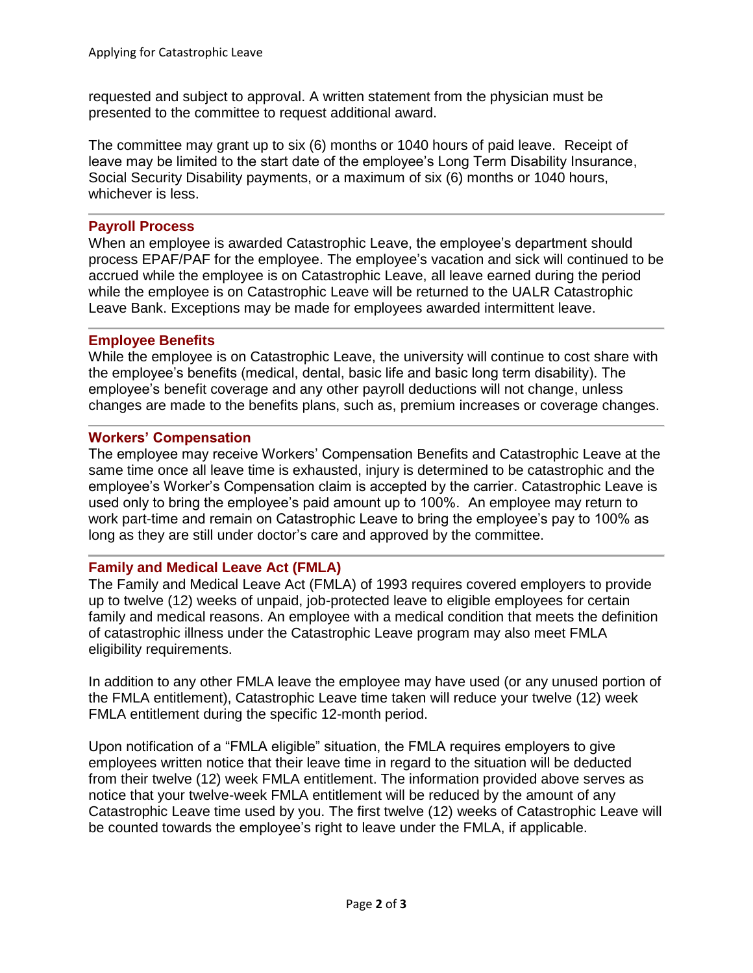requested and subject to approval. A written statement from the physician must be presented to the committee to request additional award.

The committee may grant up to six (6) months or 1040 hours of paid leave. Receipt of leave may be limited to the start date of the employee's Long Term Disability Insurance, Social Security Disability payments, or a maximum of six (6) months or 1040 hours, whichever is less.

## **Payroll Process**

When an employee is awarded Catastrophic Leave, the employee's department should process EPAF/PAF for the employee. The employee's vacation and sick will continued to be accrued while the employee is on Catastrophic Leave, all leave earned during the period while the employee is on Catastrophic Leave will be returned to the UALR Catastrophic Leave Bank. Exceptions may be made for employees awarded intermittent leave.

## **Employee Benefits**

While the employee is on Catastrophic Leave, the university will continue to cost share with the employee's benefits (medical, dental, basic life and basic long term disability). The employee's benefit coverage and any other payroll deductions will not change, unless changes are made to the benefits plans, such as, premium increases or coverage changes.

## **Workers' Compensation**

The employee may receive Workers' Compensation Benefits and Catastrophic Leave at the same time once all leave time is exhausted, injury is determined to be catastrophic and the employee's Worker's Compensation claim is accepted by the carrier. Catastrophic Leave is used only to bring the employee's paid amount up to 100%. An employee may return to work part-time and remain on Catastrophic Leave to bring the employee's pay to 100% as long as they are still under doctor's care and approved by the committee.

# **Family and Medical Leave Act (FMLA)**

The Family and Medical Leave Act (FMLA) of 1993 requires covered employers to provide up to twelve (12) weeks of unpaid, job-protected leave to eligible employees for certain family and medical reasons. An employee with a medical condition that meets the definition of catastrophic illness under the Catastrophic Leave program may also meet FMLA eligibility requirements.

In addition to any other FMLA leave the employee may have used (or any unused portion of the FMLA entitlement), Catastrophic Leave time taken will reduce your twelve (12) week FMLA entitlement during the specific 12-month period.

Upon notification of a "FMLA eligible" situation, the FMLA requires employers to give employees written notice that their leave time in regard to the situation will be deducted from their twelve (12) week FMLA entitlement. The information provided above serves as notice that your twelve-week FMLA entitlement will be reduced by the amount of any Catastrophic Leave time used by you. The first twelve (12) weeks of Catastrophic Leave will be counted towards the employee's right to leave under the FMLA, if applicable.